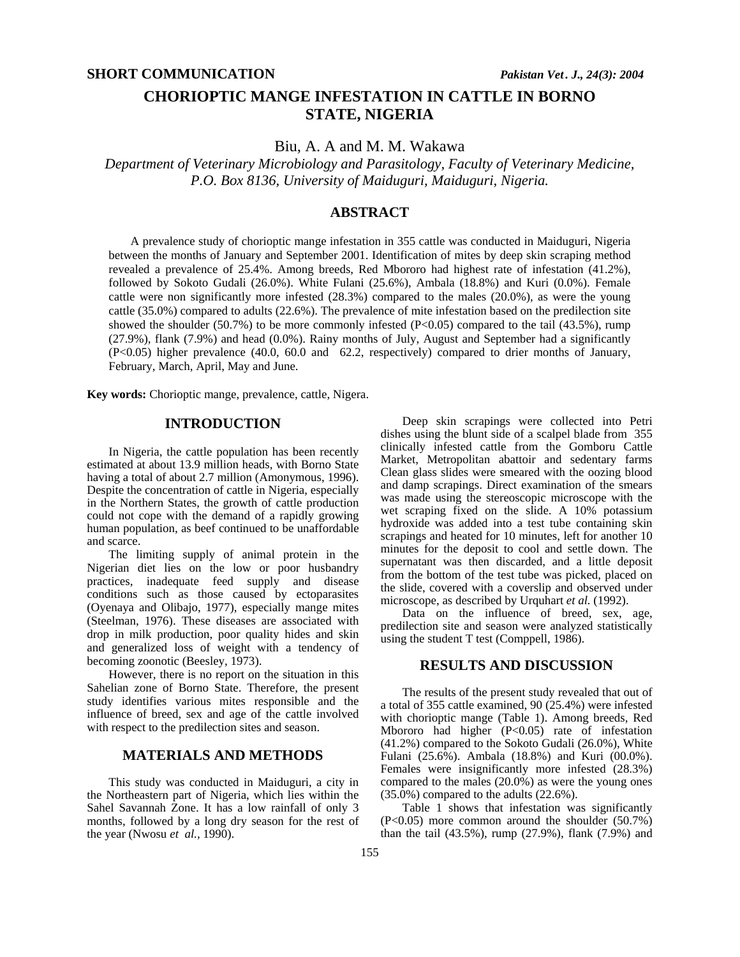## **SHORT COMMUNICATION** *Pakistan Vet . J., 24(3): 2004*

# **CHORIOPTIC MANGE INFESTATION IN CATTLE IN BORNO STATE, NIGERIA**

Biu, A. A and M. M. Wakawa

*Department of Veterinary Microbiology and Parasitology, Faculty of Veterinary Medicine, P.O. Box 8136, University of Maiduguri, Maiduguri, Nigeria.* 

## **ABSTRACT**

A prevalence study of chorioptic mange infestation in 355 cattle was conducted in Maiduguri, Nigeria between the months of January and September 2001. Identification of mites by deep skin scraping method revealed a prevalence of 25.4%. Among breeds, Red Mbororo had highest rate of infestation (41.2%), followed by Sokoto Gudali (26.0%). White Fulani (25.6%), Ambala (18.8%) and Kuri (0.0%). Female cattle were non significantly more infested (28.3%) compared to the males (20.0%), as were the young cattle (35.0%) compared to adults (22.6%). The prevalence of mite infestation based on the predilection site showed the shoulder  $(50.7\%)$  to be more commonly infested  $(P<0.05)$  compared to the tail  $(43.5\%)$ , rump (27.9%), flank (7.9%) and head (0.0%). Rainy months of July, August and September had a significantly (P<0.05) higher prevalence (40.0, 60.0 and 62.2, respectively) compared to drier months of January, February, March, April, May and June.

**Key words:** Chorioptic mange, prevalence, cattle, Nigera.

### **INTRODUCTION**

In Nigeria, the cattle population has been recently estimated at about 13.9 million heads, with Borno State having a total of about 2.7 million (Amonymous, 1996). Despite the concentration of cattle in Nigeria, especially in the Northern States, the growth of cattle production could not cope with the demand of a rapidly growing human population, as beef continued to be unaffordable and scarce.

The limiting supply of animal protein in the Nigerian diet lies on the low or poor husbandry practices, inadequate feed supply and disease conditions such as those caused by ectoparasites (Oyenaya and Olibajo, 1977), especially mange mites (Steelman, 1976). These diseases are associated with drop in milk production, poor quality hides and skin and generalized loss of weight with a tendency of becoming zoonotic (Beesley, 1973).

However, there is no report on the situation in this Sahelian zone of Borno State. Therefore, the present study identifies various mites responsible and the influence of breed, sex and age of the cattle involved with respect to the predilection sites and season.

### **MATERIALS AND METHODS**

This study was conducted in Maiduguri, a city in the Northeastern part of Nigeria, which lies within the Sahel Savannah Zone. It has a low rainfall of only 3 months, followed by a long dry season for the rest of the year (Nwosu *et al.,* 1990).

Deep skin scrapings were collected into Petri dishes using the blunt side of a scalpel blade from 355 clinically infested cattle from the Gomboru Cattle Market, Metropolitan abattoir and sedentary farms Clean glass slides were smeared with the oozing blood and damp scrapings. Direct examination of the smears was made using the stereoscopic microscope with the wet scraping fixed on the slide. A 10% potassium hydroxide was added into a test tube containing skin scrapings and heated for 10 minutes, left for another 10 minutes for the deposit to cool and settle down. The supernatant was then discarded, and a little deposit from the bottom of the test tube was picked, placed on the slide, covered with a coverslip and observed under microscope, as described by Urquhart *et al.* (1992).

Data on the influence of breed, sex, age, predilection site and season were analyzed statistically using the student T test (Comppell, 1986).

## **RESULTS AND DISCUSSION**

The results of the present study revealed that out of a total of 355 cattle examined, 90 (25.4%) were infested with chorioptic mange (Table 1). Among breeds, Red Mbororo had higher (P<0.05) rate of infestation (41.2%) compared to the Sokoto Gudali (26.0%), White Fulani (25.6%). Ambala (18.8%) and Kuri (00.0%). Females were insignificantly more infested (28.3%) compared to the males (20.0%) as were the young ones  $(35.0\%)$  compared to the adults  $(22.6\%)$ .

Table 1 shows that infestation was significantly (P<0.05) more common around the shoulder (50.7%) than the tail (43.5%), rump (27.9%), flank (7.9%) and